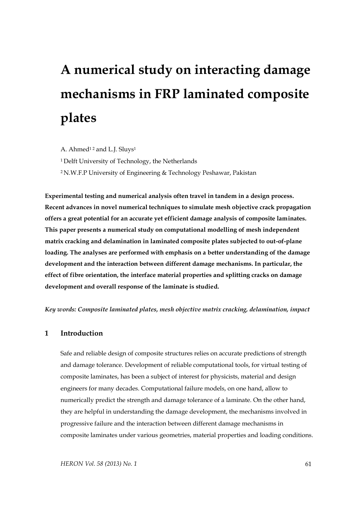# **A numerical study on interacting damage mechanisms in FRP laminated composite plates**

A. Ahmed<sup>12</sup> and L.J. Sluys<sup>1</sup>

<sup>1</sup> Delft University of Technology, the Netherlands

<sup>2</sup> N.W.F.P University of Engineering & Technology Peshawar, Pakistan

**Experimental testing and numerical analysis often travel in tandem in a design process. Recent advances in novel numerical techniques to simulate mesh objective crack propagation offers a great potential for an accurate yet efficient damage analysis of composite laminates. This paper presents a numerical study on computational modelling of mesh independent matrix cracking and delamination in laminated composite plates subjected to out-of-plane loading. The analyses are performed with emphasis on a better understanding of the damage development and the interaction between different damage mechanisms. In particular, the effect of fibre orientation, the interface material properties and splitting cracks on damage development and overall response of the laminate is studied.**

*Key words: Composite laminated plates, mesh objective matrix cracking, delamination, impact*

## **1 Introduction**

Safe and reliable design of composite structures relies on accurate predictions of strength and damage tolerance. Development of reliable computational tools, for virtual testing of composite laminates, has been a subject of interest for physicists, material and design engineers for many decades. Computational failure models, on one hand, allow to numerically predict the strength and damage tolerance of a laminate. On the other hand, they are helpful in understanding the damage development, the mechanisms involved in progressive failure and the interaction between different damage mechanisms in composite laminates under various geometries, material properties and loading conditions.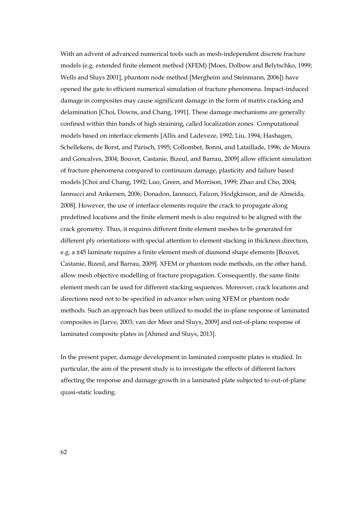With an advent of advanced numerical tools such as mesh-independent discrete fracture models (e.g. extended finite element method (XFEM) [Moes, Dolbow and Belytschko, 1999; Wells and Sluys 2001], phantom node method [Mergheim and Steinmann, 2006]) have opened the gate to efficient numerical simulation of fracture phenomena. Impact-induced damage in composites may cause significant damage in the form of matrix cracking and delamination [Choi, Downs, and Chang, 1991]. These damage mechanisms are generally confined within thin bands of high straining, called localization zones. Computational models based on interface elements [Allix and Ladeveze, 1992; Liu, 1994; Hashagen, Schellekens, de Borst, and Parisch, 1995; Collombet, Bonni, and Lataillade, 1996; de Moura and Goncalves, 2004; Bouvet, Castanie, Bizeul, and Barrau, 2009] allow efficient simulation of fracture phenomena compared to continuum damage, plasticity and failure based models [Choi and Chang, 1992; Luo, Green, and Morrison, 1999; Zhao and Cho, 2004; Iannucci and Ankersen, 2006; Donadon, Iannucci, Falzon, Hodgkinson, and de Almeida, 2008]. However, the use of interface elements require the crack to propagate along predefined locations and the finite element mesh is also required to be aligned with the crack geometry. Thus, it requires different finite element meshes to be generated for different ply orientations with special attention to element stacking in thickness direction, e.g. a ±45 laminate requires a finite element mesh of diamond shape elements [Bouvet, Castanie, Bizeul, and Barrau, 2009]. XFEM or phantom node methods, on the other hand, allow mesh objective modelling of fracture propagation. Consequently, the same finite element mesh can be used for different stacking sequences. Moreover, crack locations and directions need not to be specified in advance when using XFEM or phantom node methods. Such an approach has been utilized to model the in-plane response of laminated composites in [Iarve, 2003; van der Meer and Sluys, 2009] and out-of-plane response of laminated composite plates in [Ahmed and Sluys, 2013].

In the present paper, damage development in laminated composite plates is studied. In particular, the aim of the present study is to investigate the effects of different factors affecting the response and damage growth in a laminated plate subjected to out-of-plane quasi-static loading.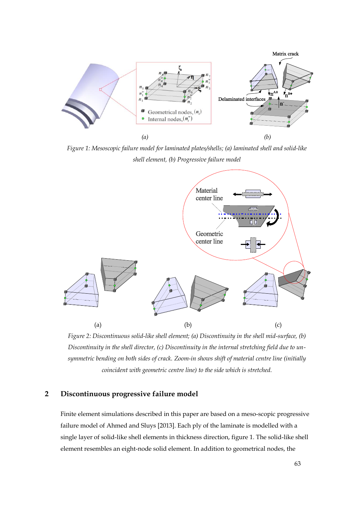

*Figure 1: Mesoscopic failure model for laminated plates/shells; (a) laminated shell and solid-like shell element, (b) Progressive failure model*



*Figure 2: Discontinuous solid-like shell element; (a) Discontinuity in the shell mid-surface, (b) Discontinuity in the shell director, (c) Discontinuity in the internal stretching field due to unsymmetric bending on both sides of crack. Zoom-in shows shift of material centre line (initially coincident with geometric centre line) to the side which is stretched.*

## **2 Discontinuous progressive failure model**

Finite element simulations described in this paper are based on a meso-scopic progressive failure model of Ahmed and Sluys [2013]. Each ply of the laminate is modelled with a single layer of solid-like shell elements in thickness direction, figure 1. The solid-like shell element resembles an eight-node solid element. In addition to geometrical nodes, the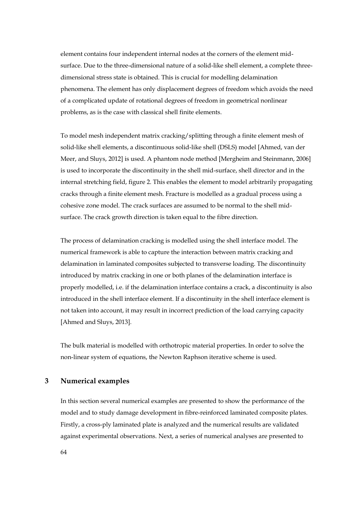element contains four independent internal nodes at the corners of the element midsurface. Due to the three-dimensional nature of a solid-like shell element, a complete threedimensional stress state is obtained. This is crucial for modelling delamination phenomena. The element has only displacement degrees of freedom which avoids the need of a complicated update of rotational degrees of freedom in geometrical nonlinear problems, as is the case with classical shell finite elements.

To model mesh independent matrix cracking/splitting through a finite element mesh of solid-like shell elements, a discontinuous solid-like shell (DSLS) model [Ahmed, van der Meer, and Sluys, 2012] is used. A phantom node method [Mergheim and Steinmann, 2006] is used to incorporate the discontinuity in the shell mid-surface, shell director and in the internal stretching field, figure 2. This enables the element to model arbitrarily propagating cracks through a finite element mesh. Fracture is modelled as a gradual process using a cohesive zone model. The crack surfaces are assumed to be normal to the shell midsurface. The crack growth direction is taken equal to the fibre direction.

The process of delamination cracking is modelled using the shell interface model. The numerical framework is able to capture the interaction between matrix cracking and delamination in laminated composites subjected to transverse loading. The discontinuity introduced by matrix cracking in one or both planes of the delamination interface is properly modelled, i.e. if the delamination interface contains a crack, a discontinuity is also introduced in the shell interface element. If a discontinuity in the shell interface element is not taken into account, it may result in incorrect prediction of the load carrying capacity [Ahmed and Sluys, 2013].

The bulk material is modelled with orthotropic material properties. In order to solve the non-linear system of equations, the Newton Raphson iterative scheme is used.

## **3 Numerical examples**

In this section several numerical examples are presented to show the performance of the model and to study damage development in fibre-reinforced laminated composite plates. Firstly, a cross-ply laminated plate is analyzed and the numerical results are validated against experimental observations. Next, a series of numerical analyses are presented to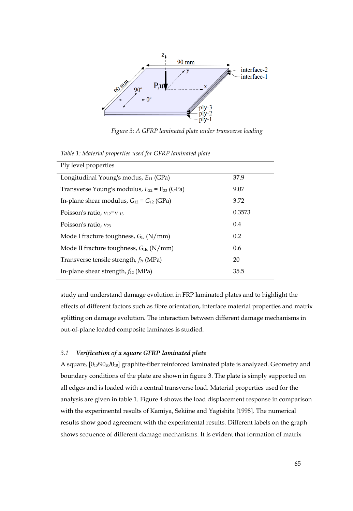

*Figure 3: A GFRP laminated plate under transverse loading*

| Ply level properties                                |        |
|-----------------------------------------------------|--------|
| Longitudinal Young's modus, $E_{11}$ (GPa)          | 37.9   |
| Transverse Young's modulus, $E_{22} = E_{33}$ (GPa) | 9.07   |
| In-plane shear modulus, $G_{12} = G_{12}$ (GPa)     | 3.72   |
| Poisson's ratio, $v_{12}=v_{13}$                    | 0.3573 |
| Poisson's ratio, $v_{23}$                           | 0.4    |
| Mode I fracture toughness, $G_{Ic}$ (N/mm)          | 0.2    |
| Mode II fracture toughness, $G_{\text{IIc}}$ (N/mm) | 0.6    |
| Transverse tensile strength, $f_{2t}$ (MPa)         | 20     |
| In-plane shear strength, $f_{12}$ (MPa)             | 35.5   |

*Table 1: Material properties used for GFRP laminated plate*

study and understand damage evolution in FRP laminated plates and to highlight the effects of different factors such as fibre orientation, interface material properties and matrix splitting on damage evolution. The interaction between different damage mechanisms in out-of-plane loaded composite laminates is studied.

# *3.1 Verification of a square GFRP laminated plate*

A square,  $[0_{10}/90_{20}/0_{10}]$  graphite-fiber reinforced laminated plate is analyzed. Geometry and boundary conditions of the plate are shown in figure 3. The plate is simply supported on all edges and is loaded with a central transverse load. Material properties used for the analysis are given in table 1. Figure 4 shows the load displacement response in comparison with the experimental results of Kamiya, Sekiine and Yagishita [1998]. The numerical results show good agreement with the experimental results. Different labels on the graph shows sequence of different damage mechanisms. It is evident that formation of matrix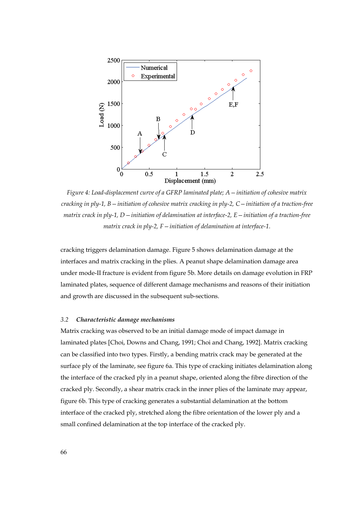

*Figure 4: Load-displacement curve of a GFRP laminated plate; A—initiation of cohesive matrix cracking in ply-1, B—initiation of cohesive matrix cracking in ply-2, C—initiation of a traction-free matrix crack in ply-1, D—initiation of delamination at interface-2, E—initiation of a traction-free matrix crack in ply-2, F—initiation of delamination at interface-1.*

cracking triggers delamination damage. Figure 5 shows delamination damage at the interfaces and matrix cracking in the plies. A peanut shape delamination damage area under mode-II fracture is evident from figure 5b. More details on damage evolution in FRP laminated plates, sequence of different damage mechanisms and reasons of their initiation and growth are discussed in the subsequent sub-sections.

### *3.2 Characteristic damage mechanisms*

Matrix cracking was observed to be an initial damage mode of impact damage in laminated plates [Choi, Downs and Chang, 1991; Choi and Chang, 1992]. Matrix cracking can be classified into two types. Firstly, a bending matrix crack may be generated at the surface ply of the laminate, see figure 6a. This type of cracking initiates delamination along the interface of the cracked ply in a peanut shape, oriented along the fibre direction of the cracked ply. Secondly, a shear matrix crack in the inner plies of the laminate may appear, figure 6b. This type of cracking generates a substantial delamination at the bottom interface of the cracked ply, stretched along the fibre orientation of the lower ply and a small confined delamination at the top interface of the cracked ply.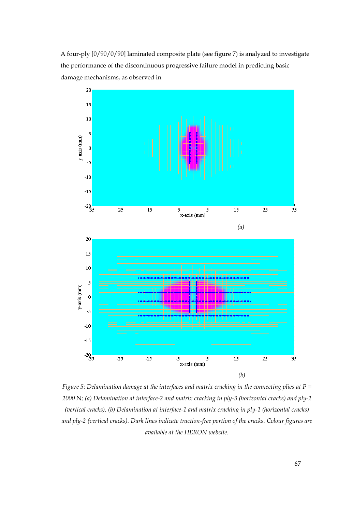



*Figure 5: Delamination damage at the interfaces and matrix cracking in the connecting plies at P = 2000* N*; (a) Delamination at interface-2 and matrix cracking in ply-3 (horizontal cracks) and ply-2 (vertical cracks), (b) Delamination at interface-1 and matrix cracking in ply-1 (horizontal cracks) and ply-2 (vertical cracks). Dark lines indicate traction-free portion of the cracks. Colour figures are available at the HERON website.*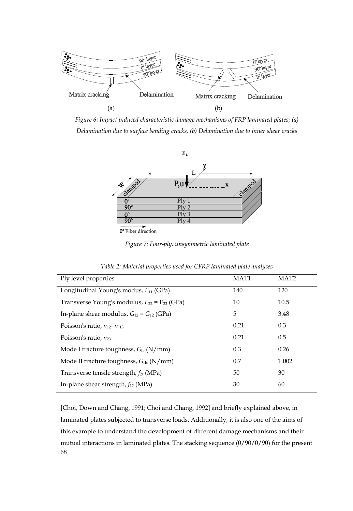

*Figure 6: Impact induced characteristic damage mechanisms of FRP laminated plates; (a) Delamination due to surface bending cracks, (b) Delamination due to inner shear cracks*



*Figure 7: Four-ply, unsymmetric laminated plate*

| Ply level properties                                | MAT <sub>1</sub> | MAT <sub>2</sub> |
|-----------------------------------------------------|------------------|------------------|
| Longitudinal Young's modus, $E_{11}$ (GPa)          | 140              | 120              |
| Transverse Young's modulus, $E_{22} = E_{33}$ (GPa) | 10               | 10.5             |
| In-plane shear modulus, $G_{12} = G_{12}$ (GPa)     | 5                | 3.48             |
| Poisson's ratio, $v_{12}=v_{13}$                    | 0.21             | 0.3              |
| Poisson's ratio, $v_{23}$                           | 0.21             | 0.5              |
| Mode I fracture toughness, $G_{Ic}$ (N/mm)          | 0.3              | 0.26             |
| Mode II fracture toughness, $G_{\text{He}}$ (N/mm)  | 0.7              | 1.002            |
| Transverse tensile strength, $f_{2t}$ (MPa)         | 50               | 30               |
| In-plane shear strength, $f_{12}$ (MPa)             | 30               | 60               |

*Table 2: Material properties used for CFRP laminated plate analyses*

68 [Choi, Down and Chang, 1991; Choi and Chang, 1992] and briefly explained above, in laminated plates subjected to transverse loads. Additionally, it is also one of the aims of this example to understand the development of different damage mechanisms and their mutual interactions in laminated plates. The stacking sequence (0/90/0/90) for the present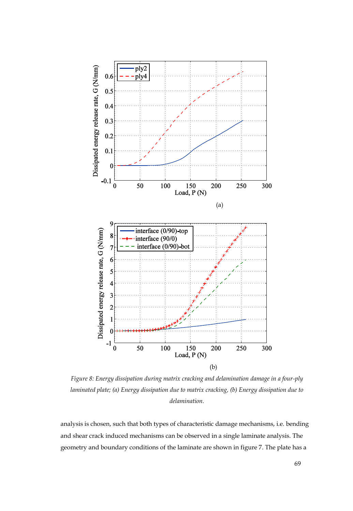

*Figure 8: Energy dissipation during matrix cracking and delamination damage in a four-ply laminated plate; (a) Energy dissipation due to matrix cracking, (b) Energy dissipation due to delamination.*

analysis is chosen, such that both types of characteristic damage mechanisms, i.e. bending and shear crack induced mechanisms can be observed in a single laminate analysis. The geometry and boundary conditions of the laminate are shown in figure 7. The plate has a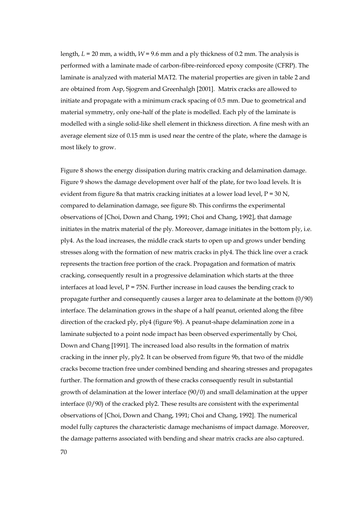length, *L* = 20 mm, a width, *W* = 9.6 mm and a ply thickness of 0.2 mm. The analysis is performed with a laminate made of carbon-fibre-reinforced epoxy composite (CFRP). The laminate is analyzed with material MAT2. The material properties are given in table 2 and are obtained from Asp, Sjogrem and Greenhalgh [2001]. Matrix cracks are allowed to initiate and propagate with a minimum crack spacing of 0.5 mm. Due to geometrical and material symmetry, only one-half of the plate is modelled. Each ply of the laminate is modelled with a single solid-like shell element in thickness direction. A fine mesh with an average element size of 0.15 mm is used near the centre of the plate, where the damage is most likely to grow.

Figure 8 shows the energy dissipation during matrix cracking and delamination damage. Figure 9 shows the damage development over half of the plate, for two load levels. It is evident from figure 8a that matrix cracking initiates at a lower load level,  $P = 30 N$ , compared to delamination damage, see figure 8b. This confirms the experimental observations of [Choi, Down and Chang, 1991; Choi and Chang, 1992], that damage initiates in the matrix material of the ply. Moreover, damage initiates in the bottom ply, i.e. ply4. As the load increases, the middle crack starts to open up and grows under bending stresses along with the formation of new matrix cracks in ply4. The thick line over a crack represents the traction free portion of the crack. Propagation and formation of matrix cracking, consequently result in a progressive delamination which starts at the three interfaces at load level,  $P = 75N$ . Further increase in load causes the bending crack to propagate further and consequently causes a larger area to delaminate at the bottom (0/90) interface. The delamination grows in the shape of a half peanut, oriented along the fibre direction of the cracked ply, ply4 (figure 9b). A peanut-shape delamination zone in a laminate subjected to a point node impact has been observed experimentally by Choi, Down and Chang [1991]. The increased load also results in the formation of matrix cracking in the inner ply, ply2. It can be observed from figure 9b, that two of the middle cracks become traction free under combined bending and shearing stresses and propagates further. The formation and growth of these cracks consequently result in substantial growth of delamination at the lower interface (90/0) and small delamination at the upper interface (0/90) of the cracked ply2. These results are consistent with the experimental observations of [Choi, Down and Chang, 1991; Choi and Chang, 1992]. The numerical model fully captures the characteristic damage mechanisms of impact damage. Moreover, the damage patterns associated with bending and shear matrix cracks are also captured.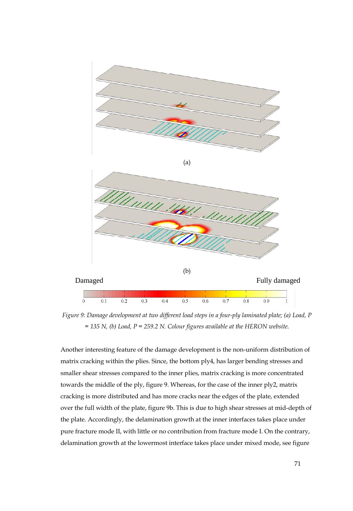

*Figure 9: Damage development at two different load steps in a four-ply laminated plate; (a) Load, P = 135 N, (b) Load, P = 259.2 N. Colour figures available at the HERON website.*

Another interesting feature of the damage development is the non-uniform distribution of matrix cracking within the plies. Since, the bottom ply4, has larger bending stresses and smaller shear stresses compared to the inner plies, matrix cracking is more concentrated towards the middle of the ply, figure 9. Whereas, for the case of the inner ply2, matrix cracking is more distributed and has more cracks near the edges of the plate, extended over the full width of the plate, figure 9b. This is due to high shear stresses at mid-depth of the plate. Accordingly, the delamination growth at the inner interfaces takes place under pure fracture mode II, with little or no contribution from fracture mode I. On the contrary, delamination growth at the lowermost interface takes place under mixed mode, see figure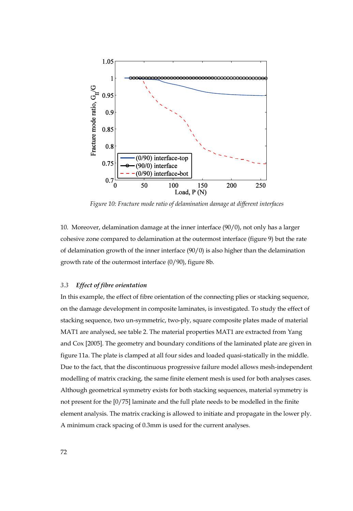

*Figure 10: Fracture mode ratio of delamination damage at different interfaces*

10. Moreover, delamination damage at the inner interface (90/0), not only has a larger cohesive zone compared to delamination at the outermost interface (figure 9) but the rate of delamination growth of the inner interface (90/0) is also higher than the delamination growth rate of the outermost interface (0/90), figure 8b.

### *3.3 Effect of fibre orientation*

In this example, the effect of fibre orientation of the connecting plies or stacking sequence, on the damage development in composite laminates, is investigated. To study the effect of stacking sequence, two un-symmetric, two-ply, square composite plates made of material MAT1 are analysed, see table 2. The material properties MAT1 are extracted from Yang and Cox [2005]. The geometry and boundary conditions of the laminated plate are given in figure 11a. The plate is clamped at all four sides and loaded quasi-statically in the middle. Due to the fact, that the discontinuous progressive failure model allows mesh-independent modelling of matrix cracking, the same finite element mesh is used for both analyses cases. Although geometrical symmetry exists for both stacking sequences, material symmetry is not present for the [0/75] laminate and the full plate needs to be modelled in the finite element analysis. The matrix cracking is allowed to initiate and propagate in the lower ply. A minimum crack spacing of 0.3mm is used for the current analyses.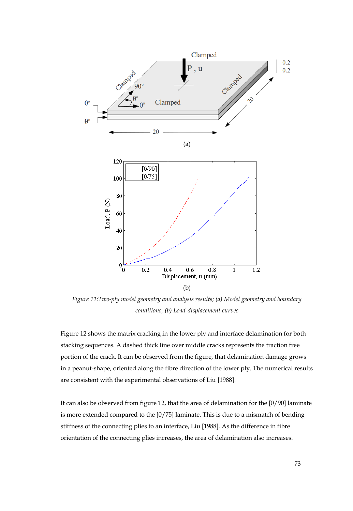

*Figure 11:Two-ply model geometry and analysis results; (a) Model geometry and boundary conditions, (b) Load-displacement curves*

Figure 12 shows the matrix cracking in the lower ply and interface delamination for both stacking sequences. A dashed thick line over middle cracks represents the traction free portion of the crack. It can be observed from the figure, that delamination damage grows in a peanut-shape, oriented along the fibre direction of the lower ply. The numerical results are consistent with the experimental observations of Liu [1988].

It can also be observed from figure 12, that the area of delamination for the [0/90] laminate is more extended compared to the  $[0/75]$  laminate. This is due to a mismatch of bending stiffness of the connecting plies to an interface, Liu [1988]. As the difference in fibre orientation of the connecting plies increases, the area of delamination also increases.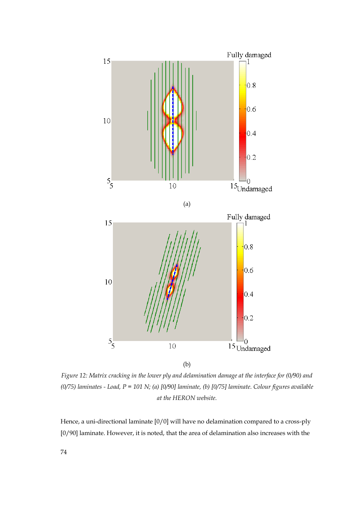

*Figure 12: Matrix cracking in the lower ply and delamination damage at the interface for (0/90) and (0/75) laminates - Load, P = 101 N; (a) [0/90] laminate, (b) [0/75] laminate. Colour figures available at the HERON website.*

Hence, a uni-directional laminate [0/0] will have no delamination compared to a cross-ply [0/90] laminate. However, it is noted, that the area of delamination also increases with the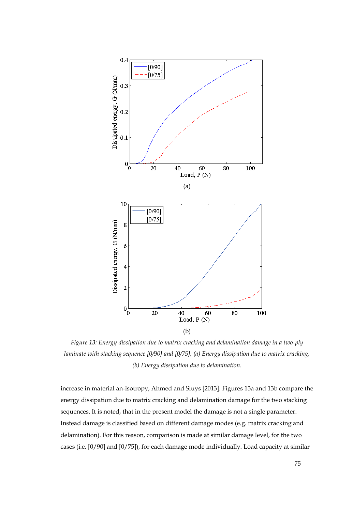

*Figure 13: Energy dissipation due to matrix cracking and delamination damage in a two-ply laminate with stacking sequence [0/90] and [0/75]; (a) Energy dissipation due to matrix cracking, (b) Energy dissipation due to delamination.*

increase in material an-isotropy, Ahmed and Sluys [2013]. Figures 13a and 13b compare the energy dissipation due to matrix cracking and delamination damage for the two stacking sequences. It is noted, that in the present model the damage is not a single parameter. Instead damage is classified based on different damage modes (e.g. matrix cracking and delamination). For this reason, comparison is made at similar damage level, for the two cases (i.e. [0/90] and [0/75]), for each damage mode individually. Load capacity at similar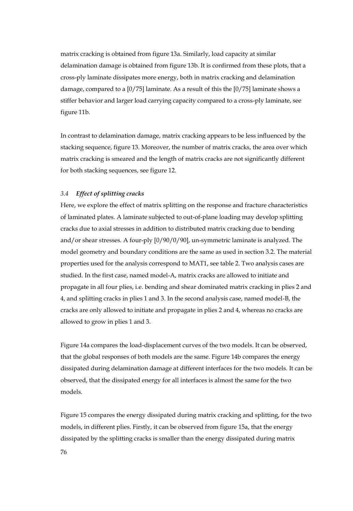matrix cracking is obtained from figure 13a. Similarly, load capacity at similar delamination damage is obtained from figure 13b. It is confirmed from these plots, that a cross-ply laminate dissipates more energy, both in matrix cracking and delamination damage, compared to a [0/75] laminate. As a result of this the [0/75] laminate shows a stiffer behavior and larger load carrying capacity compared to a cross-ply laminate, see figure 11b.

In contrast to delamination damage, matrix cracking appears to be less influenced by the stacking sequence, figure 13. Moreover, the number of matrix cracks, the area over which matrix cracking is smeared and the length of matrix cracks are not significantly different for both stacking sequences, see figure 12.

#### *3.4 Effect of splitting cracks*

Here, we explore the effect of matrix splitting on the response and fracture characteristics of laminated plates. A laminate subjected to out-of-plane loading may develop splitting cracks due to axial stresses in addition to distributed matrix cracking due to bending and/or shear stresses. A four-ply [0/90/0/90], un-symmetric laminate is analyzed. The model geometry and boundary conditions are the same as used in section 3.2. The material properties used for the analysis correspond to MAT1, see table 2. Two analysis cases are studied. In the first case, named model-A, matrix cracks are allowed to initiate and propagate in all four plies, i.e. bending and shear dominated matrix cracking in plies 2 and 4, and splitting cracks in plies 1 and 3. In the second analysis case, named model-B, the cracks are only allowed to initiate and propagate in plies 2 and 4, whereas no cracks are allowed to grow in plies 1 and 3.

Figure 14a compares the load-displacement curves of the two models. It can be observed, that the global responses of both models are the same. Figure 14b compares the energy dissipated during delamination damage at different interfaces for the two models. It can be observed, that the dissipated energy for all interfaces is almost the same for the two models.

Figure 15 compares the energy dissipated during matrix cracking and splitting, for the two models, in different plies. Firstly, it can be observed from figure 15a, that the energy dissipated by the splitting cracks is smaller than the energy dissipated during matrix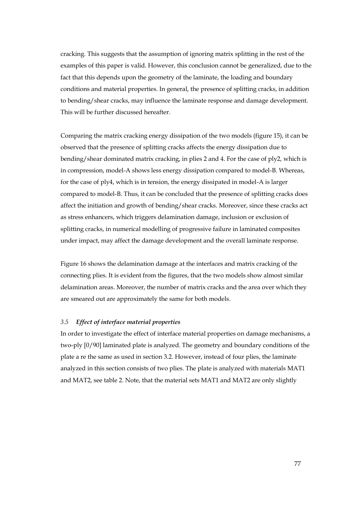cracking. This suggests that the assumption of ignoring matrix splitting in the rest of the examples of this paper is valid. However, this conclusion cannot be generalized, due to the fact that this depends upon the geometry of the laminate, the loading and boundary conditions and material properties. In general, the presence of splitting cracks, in addition to bending/shear cracks, may influence the laminate response and damage development. This will be further discussed hereafter.

Comparing the matrix cracking energy dissipation of the two models (figure 15), it can be observed that the presence of splitting cracks affects the energy dissipation due to bending/shear dominated matrix cracking, in plies 2 and 4. For the case of ply2, which is in compression, model-A shows less energy dissipation compared to model-B. Whereas, for the case of ply4, which is in tension, the energy dissipated in model-A is larger compared to model-B. Thus, it can be concluded that the presence of splitting cracks does affect the initiation and growth of bending/shear cracks. Moreover, since these cracks act as stress enhancers, which triggers delamination damage, inclusion or exclusion of splitting cracks, in numerical modelling of progressive failure in laminated composites under impact, may affect the damage development and the overall laminate response.

Figure 16 shows the delamination damage at the interfaces and matrix cracking of the connecting plies. It is evident from the figures, that the two models show almost similar delamination areas. Moreover, the number of matrix cracks and the area over which they are smeared out are approximately the same for both models.

#### *3.5 Effect of interface material properties*

In order to investigate the effect of interface material properties on damage mechanisms, a two-ply [0/90] laminated plate is analyzed. The geometry and boundary conditions of the plate a re the same as used in section 3.2. However, instead of four plies, the laminate analyzed in this section consists of two plies. The plate is analyzed with materials MAT1 and MAT2, see table 2. Note, that the material sets MAT1 and MAT2 are only slightly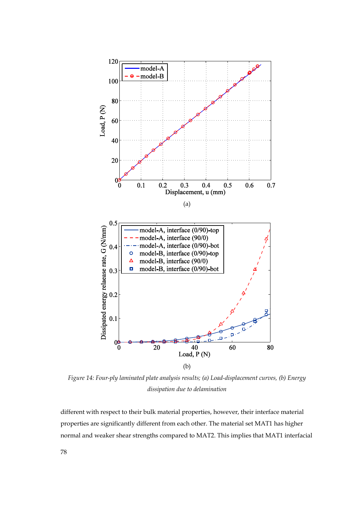

*Figure 14: Four-ply laminated plate analysis results; (a) Load-displacement curves, (b) Energy dissipation due to delamination*

different with respect to their bulk material properties, however, their interface material properties are significantly different from each other. The material set MAT1 has higher normal and weaker shear strengths compared to MAT2. This implies that MAT1 interfacial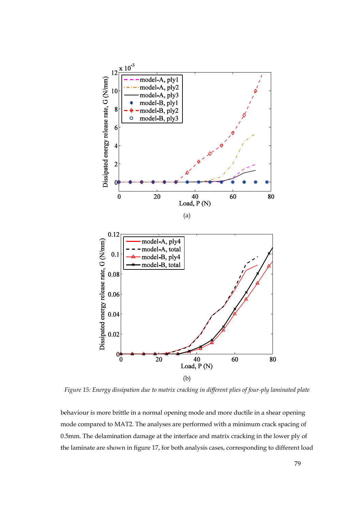

*Figure 15: Energy dissipation due to matrix cracking in different plies of four-ply laminated plate*

behaviour is more brittle in a normal opening mode and more ductile in a shear opening mode compared to MAT2. The analyses are performed with a minimum crack spacing of 0.5mm. The delamination damage at the interface and matrix cracking in the lower ply of the laminate are shown in figure 17, for both analysis cases, corresponding to different load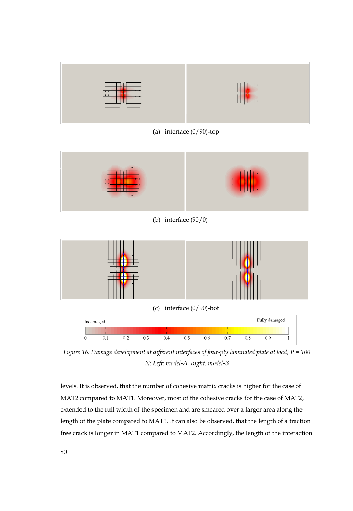

*Figure 16: Damage development at different interfaces of four-ply laminated plate at load, P = 100 N; Left: model-A, Right: model-B*

levels. It is observed, that the number of cohesive matrix cracks is higher for the case of MAT2 compared to MAT1. Moreover, most of the cohesive cracks for the case of MAT2, extended to the full width of the specimen and are smeared over a larger area along the length of the plate compared to MAT1. It can also be observed, that the length of a traction free crack is longer in MAT1 compared to MAT2. Accordingly, the length of the interaction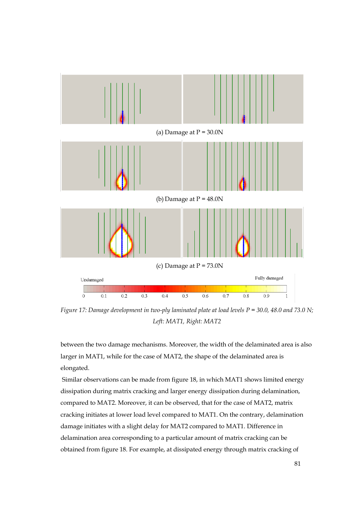

*Figure 17: Damage development in two-ply laminated plate at load levels P = 30.0, 48.0 and 73.0 N; Left: MAT1, Right: MAT2*

between the two damage mechanisms. Moreover, the width of the delaminated area is also larger in MAT1, while for the case of MAT2, the shape of the delaminated area is elongated.

Similar observations can be made from figure 18, in which MAT1 shows limited energy dissipation during matrix cracking and larger energy dissipation during delamination, compared to MAT2. Moreover, it can be observed, that for the case of MAT2, matrix cracking initiates at lower load level compared to MAT1. On the contrary, delamination damage initiates with a slight delay for MAT2 compared to MAT1. Difference in delamination area corresponding to a particular amount of matrix cracking can be obtained from figure 18. For example, at dissipated energy through matrix cracking of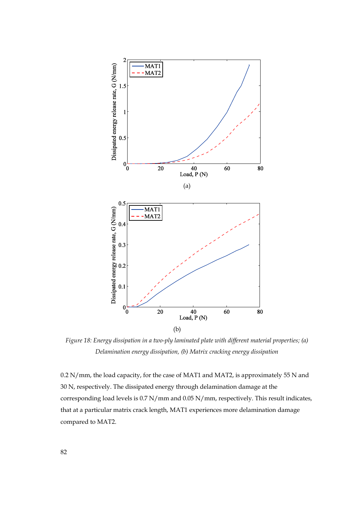

*Figure 18: Energy dissipation in a two-ply laminated plate with different material properties; (a) Delamination energy dissipation, (b) Matrix cracking energy dissipation*

0.2 N/mm, the load capacity, for the case of MAT1 and MAT2, is approximately 55 N and 30 N, respectively. The dissipated energy through delamination damage at the corresponding load levels is 0.7 N/mm and 0.05 N/mm, respectively. This result indicates, that at a particular matrix crack length, MAT1 experiences more delamination damage compared to MAT2.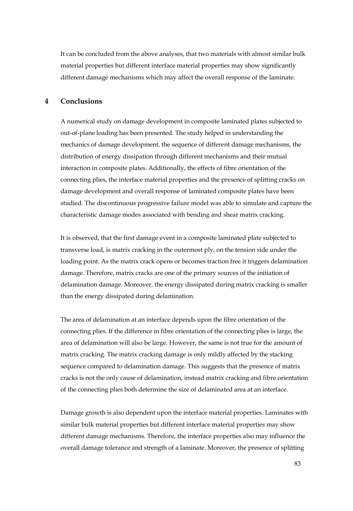It can be concluded from the above analyses, that two materials with almost similar bulk material properties but different interface material properties may show significantly different damage mechanisms which may affect the overall response of the laminate.

# **4 Conclusions**

A numerical study on damage development in composite laminated plates subjected to out-of-plane loading has been presented. The study helped in understanding the mechanics of damage development, the sequence of different damage mechanisms, the distribution of energy dissipation through different mechanisms and their mutual interaction in composite plates. Additionally, the effects of fibre orientation of the connecting plies, the interface material properties and the presence of splitting cracks on damage development and overall response of laminated composite plates have been studied. The discontinuous progressive failure model was able to simulate and capture the characteristic damage modes associated with bending and shear matrix cracking.

It is observed, that the first damage event in a composite laminated plate subjected to transverse load, is matrix cracking in the outermost ply, on the tension side under the loading point. As the matrix crack opens or becomes traction free it triggers delamination damage. Therefore, matrix cracks are one of the primary sources of the initiation of delamination damage. Moreover, the energy dissipated during matrix cracking is smaller than the energy dissipated during delamination.

The area of delamination at an interface depends upon the fibre orientation of the connecting plies. If the difference in fibre orientation of the connecting plies is large, the area of delamination will also be large. However, the same is not true for the amount of matrix cracking. The matrix cracking damage is only mildly affected by the stacking sequence compared to delamination damage. This suggests that the presence of matrix cracks is not the only cause of delamination, instead matrix cracking and fibre orientation of the connecting plies both determine the size of delaminated area at an interface.

Damage growth is also dependent upon the interface material properties. Laminates with similar bulk material properties but different interface material properties may show different damage mechanisms. Therefore, the interface properties also may influence the overall damage tolerance and strength of a laminate. Moreover, the presence of splitting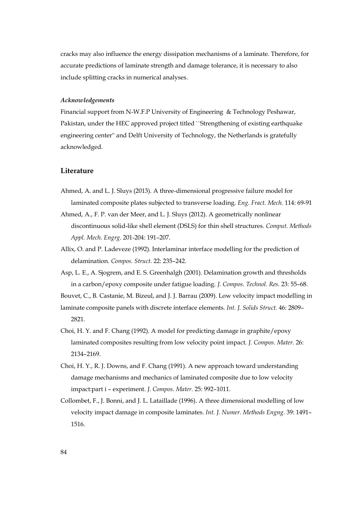cracks may also influence the energy dissipation mechanisms of a laminate. Therefore, for accurate predictions of laminate strength and damage tolerance, it is necessary to also include splitting cracks in numerical analyses.

#### *Acknowledgements*

Financial support from N-W.F.P University of Engineering & Technology Peshawar, Pakistan, under the HEC approved project titled ``Strengthening of existing earthquake engineering center'' and Delft University of Technology, the Netherlands is gratefully acknowledged.

#### **Literature**

- Ahmed, A. and L. J. Sluys (2013). A three-dimensional progressive failure model for laminated composite plates subjected to transverse loading. *Eng. Fract. Mech.* 114: 69-91
- Ahmed, A., F. P. van der Meer, and L. J. Sluys (2012). A geometrically nonlinear discontinuous solid-like shell element (DSLS) for thin shell structures. *Comput. Methods Appl. Mech. Engrg*. 201-204: 191–207.
- Allix, O. and P. Ladeveze (1992). Interlaminar interface modelling for the prediction of delamination. *Compos. Struct.* 22: 235–242.
- Asp, L. E., A. Sjogrem, and E. S. Greenhalgh (2001). Delamination growth and thresholds in a carbon/epoxy composite under fatigue loading. *J. Compos. Technol. Res.* 23: 55–68.

Bouvet, C., B. Castanie, M. Bizeul, and J. J. Barrau (2009). Low velocity impact modelling in

laminate composite panels with discrete interface elements. *Int. J. Solids Struct.* 46: 2809– 2821.

- Choi, H. Y. and F. Chang (1992). A model for predicting damage in graphite/epoxy laminated composites resulting from low velocity point impact. *J. Compos. Mater.* 26: 2134–2169.
- Choi, H. Y., R. J. Downs, and F. Chang (1991). A new approach toward understanding damage mechanisms and mechanics of laminated composite due to low velocity impact:part i – experiment. *J. Compos. Mater.* 25: 992–1011.
- Collombet, F., J. Bonni, and J. L. Lataillade (1996). A three dimensional modelling of low velocity impact damage in composite laminates. *Int. J. Numer. Methods Engng.* 39: 1491– 1516.